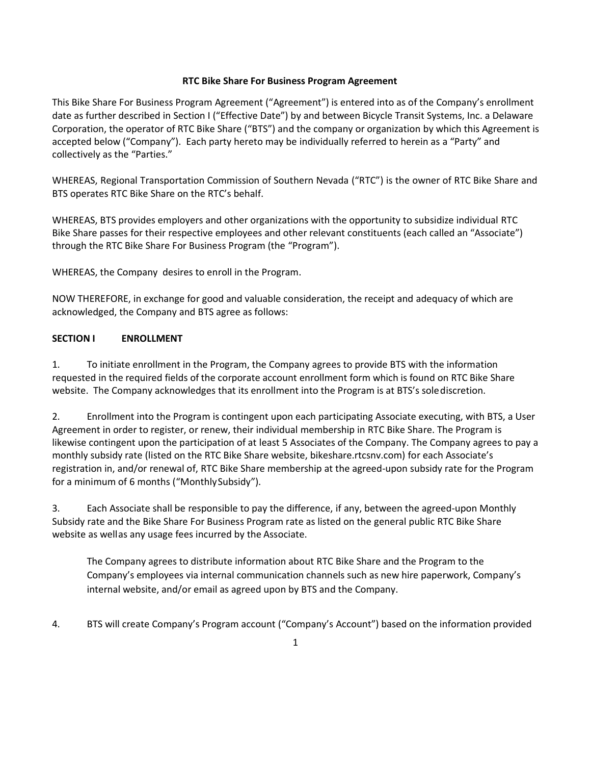### **RTC Bike Share For Business Program Agreement**

This Bike Share For Business Program Agreement ("Agreement") is entered into as of the Company's enrollment date as further described in Section I ("Effective Date") by and between Bicycle Transit Systems, Inc. a Delaware Corporation, the operator of RTC Bike Share ("BTS") and the company or organization by which this Agreement is accepted below ("Company"). Each party hereto may be individually referred to herein as a "Party" and collectively as the "Parties."

WHEREAS, Regional Transportation Commission of Southern Nevada ("RTC") is the owner of RTC Bike Share and BTS operates RTC Bike Share on the RTC's behalf.

WHEREAS, BTS provides employers and other organizations with the opportunity to subsidize individual RTC Bike Share passes for their respective employees and other relevant constituents (each called an "Associate") through the RTC Bike Share For Business Program (the "Program").

WHEREAS, the Company desires to enroll in the Program.

NOW THEREFORE, in exchange for good and valuable consideration, the receipt and adequacy of which are acknowledged, the Company and BTS agree as follows:

## **SECTION I ENROLLMENT**

1. To initiate enrollment in the Program, the Company agrees to provide BTS with the information requested in the required fields of the corporate account enrollment form which is found on RTC Bike Share website. The Company acknowledges that its enrollment into the Program is at BTS's solediscretion.

2. Enrollment into the Program is contingent upon each participating Associate executing, with BTS, a User Agreement in order to register, or renew, their individual membership in RTC Bike Share. The Program is likewise contingent upon the participation of at least 5 Associates of the Company. The Company agrees to pay a monthly subsidy rate (listed on the RTC Bike Share website, bikeshare.rtcsnv.com) for each Associate's registration in, and/or renewal of, RTC Bike Share membership at the agreed-upon subsidy rate for the Program for a minimum of 6 months ("MonthlySubsidy").

3. Each Associate shall be responsible to pay the difference, if any, between the agreed-upon Monthly Subsidy rate and the Bike Share For Business Program rate as listed on the general public RTC Bike Share website as wellas any usage fees incurred by the Associate.

The Company agrees to distribute information about RTC Bike Share and the Program to the Company's employees via internal communication channels such as new hire paperwork, Company's internal website, and/or email as agreed upon by BTS and the Company.

4. BTS will create Company's Program account ("Company's Account") based on the information provided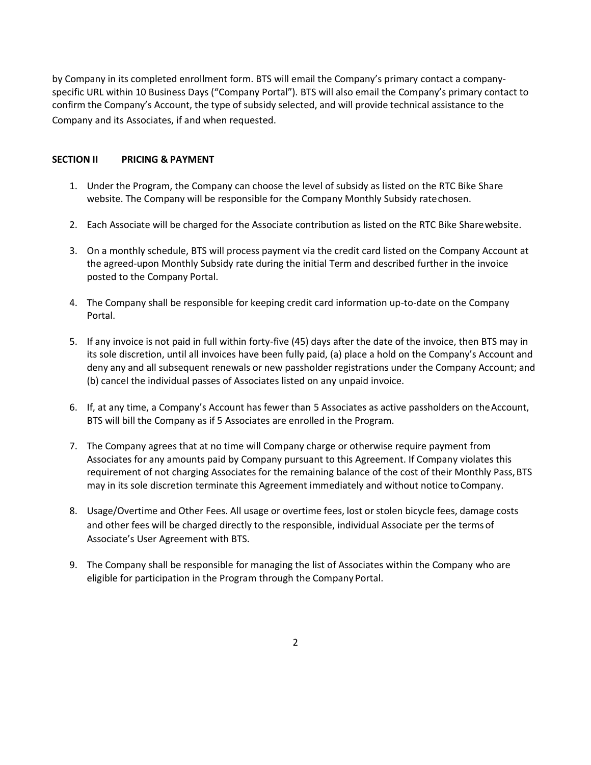by Company in its completed enrollment form. BTS will email the Company's primary contact a companyspecific URL within 10 Business Days ("Company Portal"). BTS will also email the Company's primary contact to confirm the Company's Account, the type of subsidy selected, and will provide technical assistance to the Company and its Associates, if and when requested.

### **SECTION II PRICING & PAYMENT**

- 1. Under the Program, the Company can choose the level of subsidy as listed on the RTC Bike Share website. The Company will be responsible for the Company Monthly Subsidy ratechosen.
- 2. Each Associate will be charged for the Associate contribution as listed on the RTC Bike Sharewebsite.
- 3. On a monthly schedule, BTS will process payment via the credit card listed on the Company Account at the agreed-upon Monthly Subsidy rate during the initial Term and described further in the invoice posted to the Company Portal.
- 4. The Company shall be responsible for keeping credit card information up-to-date on the Company Portal.
- 5. If any invoice is not paid in full within forty-five (45) days after the date of the invoice, then BTS may in its sole discretion, until all invoices have been fully paid, (a) place a hold on the Company's Account and deny any and all subsequent renewals or new passholder registrations under the Company Account; and (b) cancel the individual passes of Associates listed on any unpaid invoice.
- 6. If, at any time, a Company's Account has fewer than 5 Associates as active passholders on the Account, BTS will bill the Company as if 5 Associates are enrolled in the Program.
- 7. The Company agrees that at no time will Company charge or otherwise require payment from Associates for any amounts paid by Company pursuant to this Agreement. If Company violates this requirement of not charging Associates for the remaining balance of the cost of their Monthly Pass, BTS may in its sole discretion terminate this Agreement immediately and without notice toCompany.
- 8. Usage/Overtime and Other Fees. All usage or overtime fees, lost or stolen bicycle fees, damage costs and other fees will be charged directly to the responsible, individual Associate per the terms of Associate's User Agreement with BTS.
- 9. The Company shall be responsible for managing the list of Associates within the Company who are eligible for participation in the Program through the Company Portal.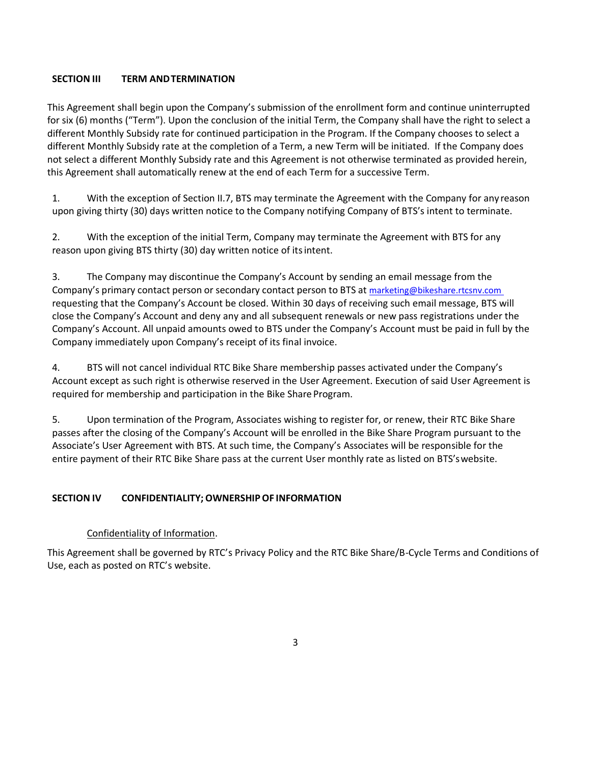# **SECTION III TERM ANDTERMINATION**

This Agreement shall begin upon the Company's submission of the enrollment form and continue uninterrupted for six (6) months ("Term"). Upon the conclusion of the initial Term, the Company shall have the right to select a different Monthly Subsidy rate for continued participation in the Program. If the Company chooses to select a different Monthly Subsidy rate at the completion of a Term, a new Term will be initiated. If the Company does not select a different Monthly Subsidy rate and this Agreement is not otherwise terminated as provided herein, this Agreement shall automatically renew at the end of each Term for a successive Term.

1. With the exception of Section II.7, BTS may terminate the Agreement with the Company for any reason upon giving thirty (30) days written notice to the Company notifying Company of BTS's intent to terminate.

2. With the exception of the initial Term, Company may terminate the Agreement with BTS for any reason upon giving BTS thirty (30) day written notice of itsintent.

3. The Company may discontinue the Company's Account by sending an email message from the Company's primary contact person or secondary contact person to BTS at marketing@bikeshare.rtcsnv.com requesting that the Company's Account be closed. Within 30 days of receiving such email message, BTS will close the Company's Account and deny any and all subsequent renewals or new pass registrations under the Company's Account. All unpaid amounts owed to BTS under the Company's Account must be paid in full by the Company immediately upon Company's receipt of its final invoice.

4. BTS will not cancel individual RTC Bike Share membership passes activated under the Company's Account except as such right is otherwise reserved in the User Agreement. Execution of said User Agreement is required for membership and participation in the Bike Share Program.

5. Upon termination of the Program, Associates wishing to register for, or renew, their RTC Bike Share passes after the closing of the Company's Account will be enrolled in the Bike Share Program pursuant to the Associate's User Agreement with BTS. At such time, the Company's Associates will be responsible for the entire payment of their RTC Bike Share pass at the current User monthly rate as listed on BTS'swebsite.

## **SECTION IV CONFIDENTIALITY;OWNERSHIPOF INFORMATION**

## Confidentiality of Information.

This Agreement shall be governed by RTC's Privacy Policy and the RTC Bike Share/B-Cycle Terms and Conditions of Use, each as posted on RTC's website.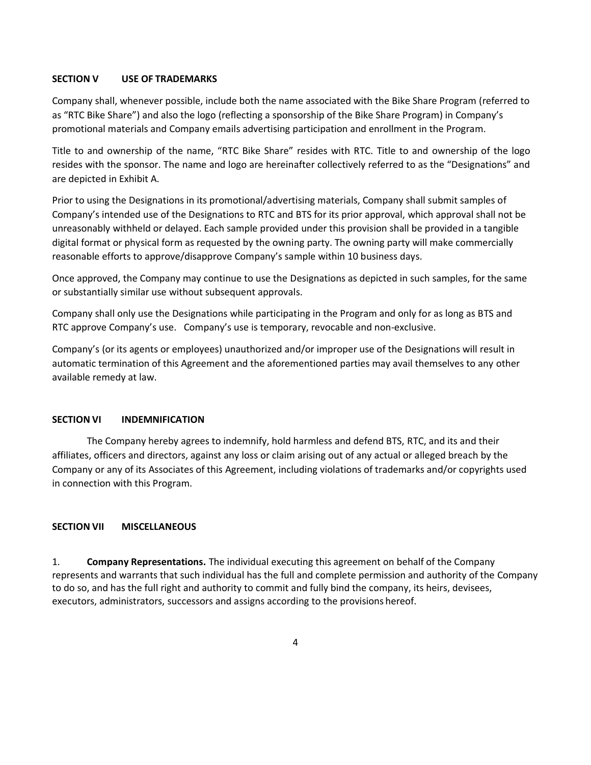### **SECTION V USE OF TRADEMARKS**

Company shall, whenever possible, include both the name associated with the Bike Share Program (referred to as "RTC Bike Share") and also the logo (reflecting a sponsorship of the Bike Share Program) in Company's promotional materials and Company emails advertising participation and enrollment in the Program.

Title to and ownership of the name, "RTC Bike Share" resides with RTC. Title to and ownership of the logo resides with the sponsor. The name and logo are hereinafter collectively referred to as the "Designations" and are depicted in Exhibit A.

Prior to using the Designations in its promotional/advertising materials, Company shall submit samples of Company's intended use of the Designations to RTC and BTS for its prior approval, which approval shall not be unreasonably withheld or delayed. Each sample provided under this provision shall be provided in a tangible digital format or physical form as requested by the owning party. The owning party will make commercially reasonable efforts to approve/disapprove Company's sample within 10 business days.

Once approved, the Company may continue to use the Designations as depicted in such samples, for the same or substantially similar use without subsequent approvals.

Company shall only use the Designations while participating in the Program and only for as long as BTS and RTC approve Company's use. Company's use is temporary, revocable and non-exclusive.

Company's (or its agents or employees) unauthorized and/or improper use of the Designations will result in automatic termination of this Agreement and the aforementioned parties may avail themselves to any other available remedy at law.

#### **SECTION VI INDEMNIFICATION**

The Company hereby agrees to indemnify, hold harmless and defend BTS, RTC, and its and their affiliates, officers and directors, against any loss or claim arising out of any actual or alleged breach by the Company or any of its Associates of this Agreement, including violations of trademarks and/or copyrights used in connection with this Program.

#### **SECTION VII MISCELLANEOUS**

1. **Company Representations.** The individual executing this agreement on behalf of the Company represents and warrants that such individual has the full and complete permission and authority of the Company to do so, and has the full right and authority to commit and fully bind the company, its heirs, devisees, executors, administrators, successors and assigns according to the provisions hereof.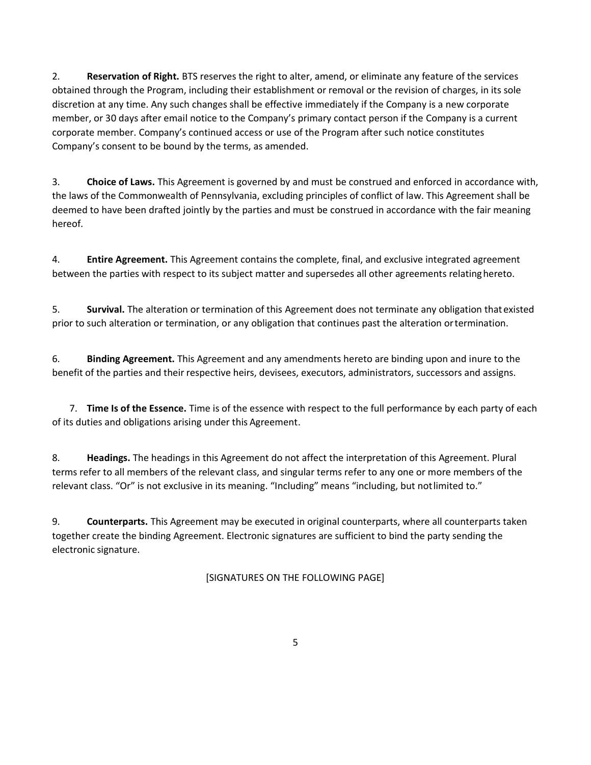2. **Reservation of Right.** BTS reserves the right to alter, amend, or eliminate any feature of the services obtained through the Program, including their establishment or removal or the revision of charges, in its sole discretion at any time. Any such changes shall be effective immediately if the Company is a new corporate member, or 30 days after email notice to the Company's primary contact person if the Company is a current corporate member. Company's continued access or use of the Program after such notice constitutes Company's consent to be bound by the terms, as amended.

3. **Choice of Laws.** This Agreement is governed by and must be construed and enforced in accordance with, the laws of the Commonwealth of Pennsylvania, excluding principles of conflict of law. This Agreement shall be deemed to have been drafted jointly by the parties and must be construed in accordance with the fair meaning hereof.

4. **Entire Agreement.** This Agreement contains the complete, final, and exclusive integrated agreement between the parties with respect to its subject matter and supersedes all other agreements relatinghereto.

5. **Survival.** The alteration or termination of this Agreement does not terminate any obligation thatexisted prior to such alteration or termination, or any obligation that continues past the alteration ortermination.

6. **Binding Agreement.** This Agreement and any amendments hereto are binding upon and inure to the benefit of the parties and their respective heirs, devisees, executors, administrators, successors and assigns.

7. **Time Is of the Essence.** Time is of the essence with respect to the full performance by each party of each of its duties and obligations arising under this Agreement.

8. **Headings.** The headings in this Agreement do not affect the interpretation of this Agreement. Plural terms refer to all members of the relevant class, and singular terms refer to any one or more members of the relevant class. "Or" is not exclusive in its meaning. "Including" means "including, but notlimited to."

9. **Counterparts.** This Agreement may be executed in original counterparts, where all counterparts taken together create the binding Agreement. Electronic signatures are sufficient to bind the party sending the electronic signature.

[SIGNATURES ON THE FOLLOWING PAGE]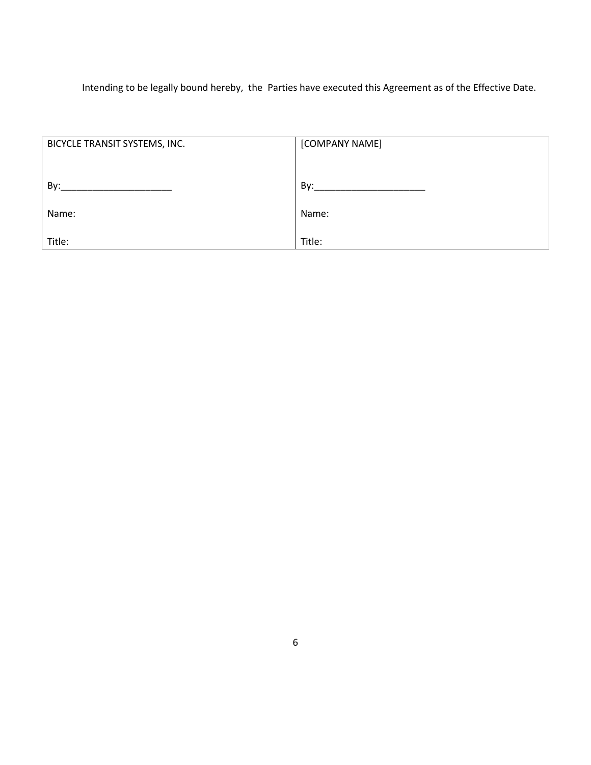Intending to be legally bound hereby, the Parties have executed this Agreement as of the Effective Date.

| BICYCLE TRANSIT SYSTEMS, INC. | [COMPANY NAME] |
|-------------------------------|----------------|
|                               |                |
|                               |                |
| By:                           | By:            |
|                               |                |
| Name:                         | Name:          |
|                               |                |
| Title:                        | Title:         |